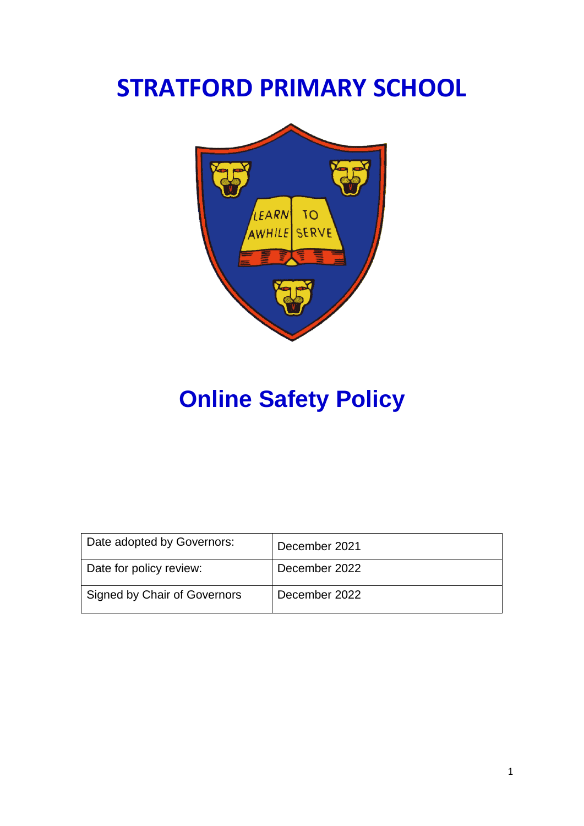# **STRATFORD PRIMARY SCHOOL**



# **Online Safety Policy**

| Date adopted by Governors:   | December 2021 |
|------------------------------|---------------|
| Date for policy review:      | December 2022 |
| Signed by Chair of Governors | December 2022 |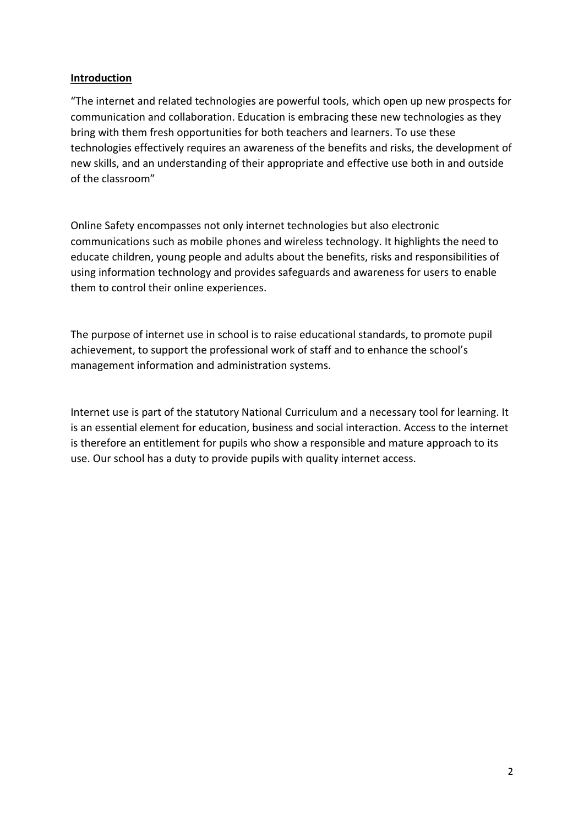#### **Introduction**

"The internet and related technologies are powerful tools, which open up new prospects for communication and collaboration. Education is embracing these new technologies as they bring with them fresh opportunities for both teachers and learners. To use these technologies effectively requires an awareness of the benefits and risks, the development of new skills, and an understanding of their appropriate and effective use both in and outside of the classroom"

Online Safety encompasses not only internet technologies but also electronic communications such as mobile phones and wireless technology. It highlights the need to educate children, young people and adults about the benefits, risks and responsibilities of using information technology and provides safeguards and awareness for users to enable them to control their online experiences.

The purpose of internet use in school is to raise educational standards, to promote pupil achievement, to support the professional work of staff and to enhance the school's management information and administration systems.

Internet use is part of the statutory National Curriculum and a necessary tool for learning. It is an essential element for education, business and social interaction. Access to the internet is therefore an entitlement for pupils who show a responsible and mature approach to its use. Our school has a duty to provide pupils with quality internet access.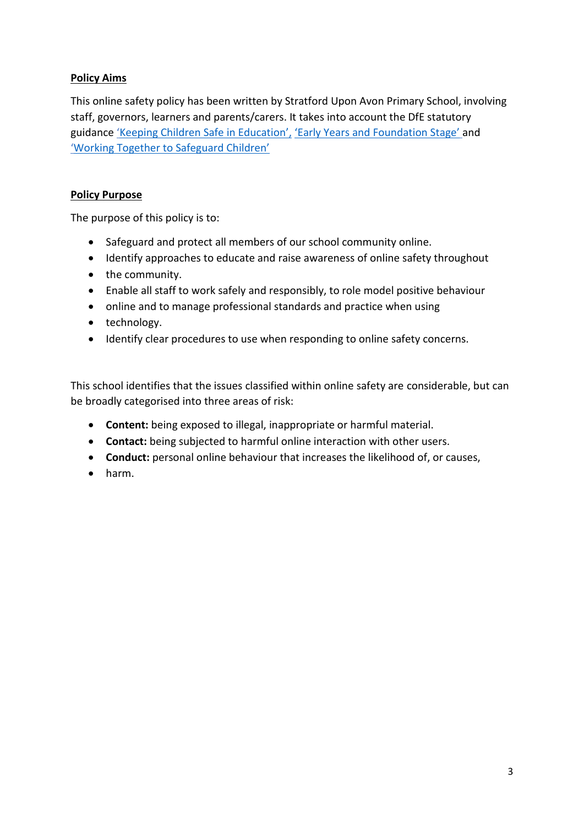# **Policy Aims**

This online safety policy has been written by Stratford Upon Avon Primary School, involving staff, governors, learners and parents/carers. It takes into account the DfE statutory guidance ['Keeping Children Safe in Education',](https://www.gov.uk/government/publications/keeping-children-safe-in-education--2) ['Early Years and Foundation Stage'](https://www.gov.uk/government/publications/early-years-foundation-stage-framework--2) and ['Working Together to Safeguard Children'](https://www.gov.uk/government/publications/working-together-to-safeguard-children--2)

## **Policy Purpose**

The purpose of this policy is to:

- Safeguard and protect all members of our school community online.
- Identify approaches to educate and raise awareness of online safety throughout
- the community.
- Enable all staff to work safely and responsibly, to role model positive behaviour
- online and to manage professional standards and practice when using
- technology.
- Identify clear procedures to use when responding to online safety concerns.

This school identifies that the issues classified within online safety are considerable, but can be broadly categorised into three areas of risk:

- **Content:** being exposed to illegal, inappropriate or harmful material.
- **Contact:** being subjected to harmful online interaction with other users.
- **Conduct:** personal online behaviour that increases the likelihood of, or causes,
- harm.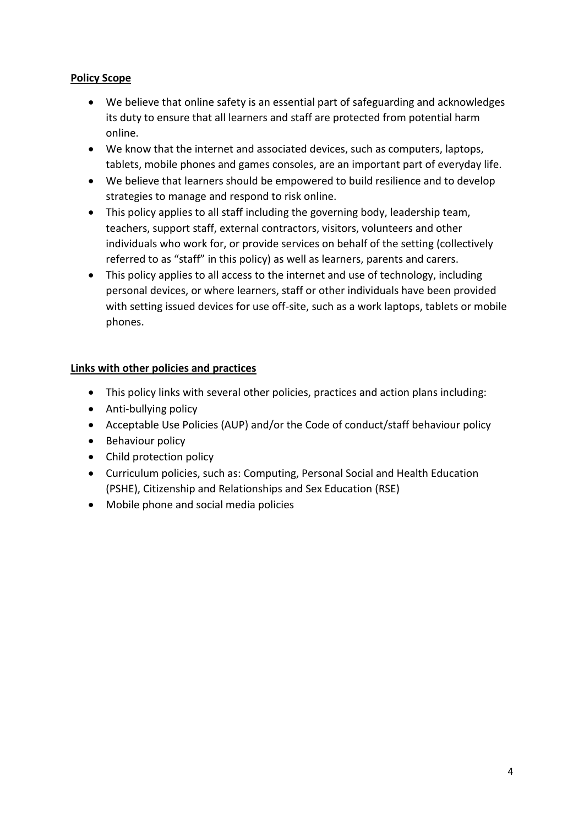## **Policy Scope**

- We believe that online safety is an essential part of safeguarding and acknowledges its duty to ensure that all learners and staff are protected from potential harm online.
- We know that the internet and associated devices, such as computers, laptops, tablets, mobile phones and games consoles, are an important part of everyday life.
- We believe that learners should be empowered to build resilience and to develop strategies to manage and respond to risk online.
- This policy applies to all staff including the governing body, leadership team, teachers, support staff, external contractors, visitors, volunteers and other individuals who work for, or provide services on behalf of the setting (collectively referred to as "staff" in this policy) as well as learners, parents and carers.
- This policy applies to all access to the internet and use of technology, including personal devices, or where learners, staff or other individuals have been provided with setting issued devices for use off-site, such as a work laptops, tablets or mobile phones.

## **Links with other policies and practices**

- This policy links with several other policies, practices and action plans including:
- Anti-bullying policy
- Acceptable Use Policies (AUP) and/or the Code of conduct/staff behaviour policy
- Behaviour policy
- Child protection policy
- Curriculum policies, such as: Computing, Personal Social and Health Education (PSHE), Citizenship and Relationships and Sex Education (RSE)
- Mobile phone and social media policies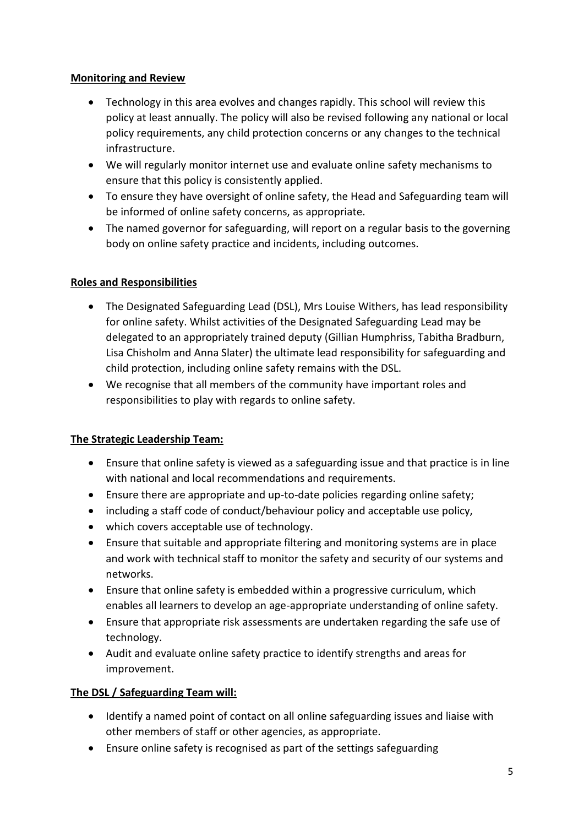## **Monitoring and Review**

- Technology in this area evolves and changes rapidly. This school will review this policy at least annually. The policy will also be revised following any national or local policy requirements, any child protection concerns or any changes to the technical infrastructure.
- We will regularly monitor internet use and evaluate online safety mechanisms to ensure that this policy is consistently applied.
- To ensure they have oversight of online safety, the Head and Safeguarding team will be informed of online safety concerns, as appropriate.
- The named governor for safeguarding, will report on a regular basis to the governing body on online safety practice and incidents, including outcomes.

# **Roles and Responsibilities**

- The Designated Safeguarding Lead (DSL), Mrs Louise Withers, has lead responsibility for online safety. Whilst activities of the Designated Safeguarding Lead may be delegated to an appropriately trained deputy (Gillian Humphriss, Tabitha Bradburn, Lisa Chisholm and Anna Slater) the ultimate lead responsibility for safeguarding and child protection, including online safety remains with the DSL.
- We recognise that all members of the community have important roles and responsibilities to play with regards to online safety.

# **The Strategic Leadership Team:**

- Ensure that online safety is viewed as a safeguarding issue and that practice is in line with national and local recommendations and requirements.
- Ensure there are appropriate and up-to-date policies regarding online safety;
- including a staff code of conduct/behaviour policy and acceptable use policy,
- which covers acceptable use of technology.
- Ensure that suitable and appropriate filtering and monitoring systems are in place and work with technical staff to monitor the safety and security of our systems and networks.
- Ensure that online safety is embedded within a progressive curriculum, which enables all learners to develop an age-appropriate understanding of online safety.
- Ensure that appropriate risk assessments are undertaken regarding the safe use of technology.
- Audit and evaluate online safety practice to identify strengths and areas for improvement.

# **The DSL / Safeguarding Team will:**

- Identify a named point of contact on all online safeguarding issues and liaise with other members of staff or other agencies, as appropriate.
- Ensure online safety is recognised as part of the settings safeguarding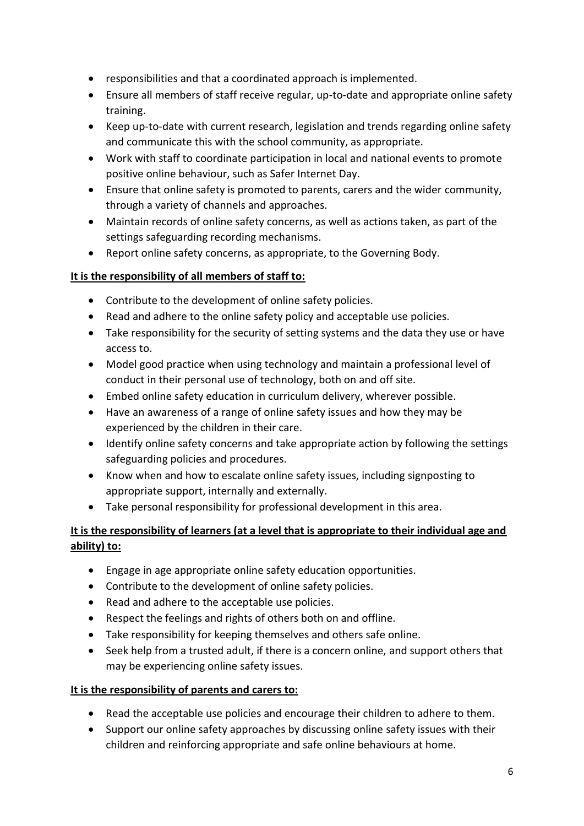- responsibilities and that a coordinated approach is implemented.
- Ensure all members of staff receive regular, up-to-date and appropriate online safety training.
- Keep up-to-date with current research, legislation and trends regarding online safety and communicate this with the school community, as appropriate.
- Work with staff to coordinate participation in local and national events to promote positive online behaviour, such as Safer Internet Day.
- Ensure that online safety is promoted to parents, carers and the wider community, through a variety of channels and approaches.
- Maintain records of online safety concerns, as well as actions taken, as part of the settings safeguarding recording mechanisms.
- Report online safety concerns, as appropriate, to the Governing Body.

## **It is the responsibility of all members of staff to:**

- Contribute to the development of online safety policies.
- Read and adhere to the online safety policy and acceptable use policies.
- Take responsibility for the security of setting systems and the data they use or have access to.
- Model good practice when using technology and maintain a professional level of conduct in their personal use of technology, both on and off site.
- Embed online safety education in curriculum delivery, wherever possible.
- Have an awareness of a range of online safety issues and how they may be experienced by the children in their care.
- Identify online safety concerns and take appropriate action by following the settings safeguarding policies and procedures.
- Know when and how to escalate online safety issues, including signposting to appropriate support, internally and externally.
- Take personal responsibility for professional development in this area.

# **It is the responsibility of learners (at a level that is appropriate to their individual age and ability) to:**

- Engage in age appropriate online safety education opportunities.
- Contribute to the development of online safety policies.
- Read and adhere to the acceptable use policies.
- Respect the feelings and rights of others both on and offline.
- Take responsibility for keeping themselves and others safe online.
- Seek help from a trusted adult, if there is a concern online, and support others that may be experiencing online safety issues.

# **It is the responsibility of parents and carers to:**

- Read the acceptable use policies and encourage their children to adhere to them.
- Support our online safety approaches by discussing online safety issues with their children and reinforcing appropriate and safe online behaviours at home.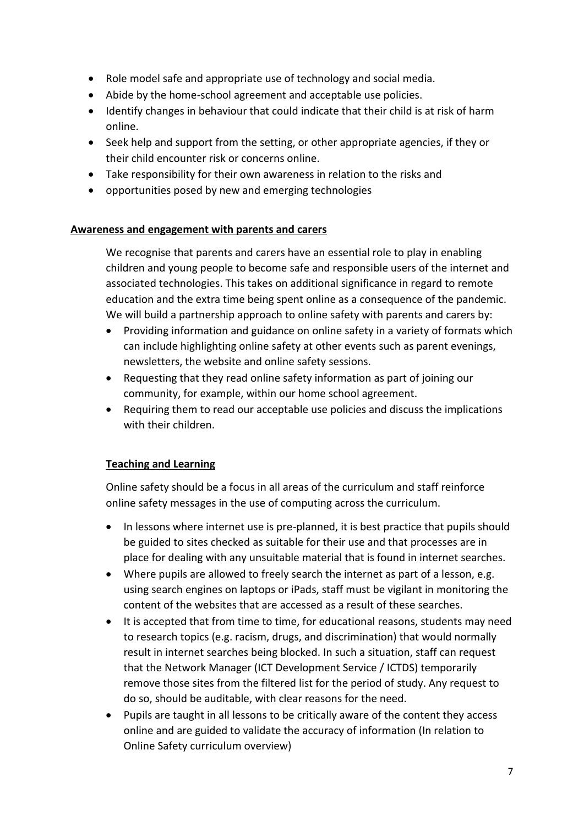- Role model safe and appropriate use of technology and social media.
- Abide by the home-school agreement and acceptable use policies.
- Identify changes in behaviour that could indicate that their child is at risk of harm online.
- Seek help and support from the setting, or other appropriate agencies, if they or their child encounter risk or concerns online.
- Take responsibility for their own awareness in relation to the risks and
- opportunities posed by new and emerging technologies

#### **Awareness and engagement with parents and carers**

We recognise that parents and carers have an essential role to play in enabling children and young people to become safe and responsible users of the internet and associated technologies. This takes on additional significance in regard to remote education and the extra time being spent online as a consequence of the pandemic. We will build a partnership approach to online safety with parents and carers by:

- Providing information and guidance on online safety in a variety of formats which can include highlighting online safety at other events such as parent evenings, newsletters, the website and online safety sessions.
- Requesting that they read online safety information as part of joining our community, for example, within our home school agreement.
- Requiring them to read our acceptable use policies and discuss the implications with their children.

## **Teaching and Learning**

Online safety should be a focus in all areas of the curriculum and staff reinforce online safety messages in the use of computing across the curriculum.

- In lessons where internet use is pre-planned, it is best practice that pupils should be guided to sites checked as suitable for their use and that processes are in place for dealing with any unsuitable material that is found in internet searches.
- Where pupils are allowed to freely search the internet as part of a lesson, e.g. using search engines on laptops or iPads, staff must be vigilant in monitoring the content of the websites that are accessed as a result of these searches.
- It is accepted that from time to time, for educational reasons, students may need to research topics (e.g. racism, drugs, and discrimination) that would normally result in internet searches being blocked. In such a situation, staff can request that the Network Manager (ICT Development Service / ICTDS) temporarily remove those sites from the filtered list for the period of study. Any request to do so, should be auditable, with clear reasons for the need.
- Pupils are taught in all lessons to be critically aware of the content they access online and are guided to validate the accuracy of information (In relation to Online Safety curriculum overview)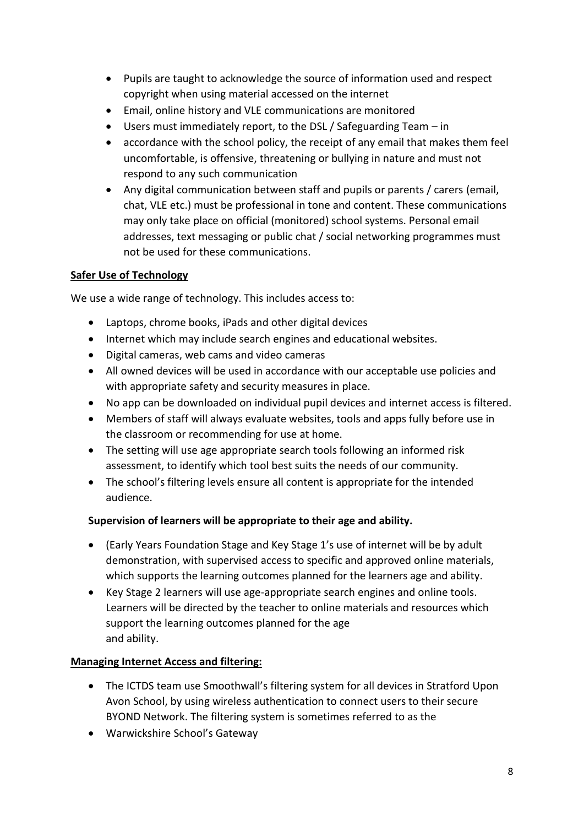- Pupils are taught to acknowledge the source of information used and respect copyright when using material accessed on the internet
- Email, online history and VLE communications are monitored
- Users must immediately report, to the DSL / Safeguarding Team in
- accordance with the school policy, the receipt of any email that makes them feel uncomfortable, is offensive, threatening or bullying in nature and must not respond to any such communication
- Any digital communication between staff and pupils or parents / carers (email, chat, VLE etc.) must be professional in tone and content. These communications may only take place on official (monitored) school systems. Personal email addresses, text messaging or public chat / social networking programmes must not be used for these communications.

# **Safer Use of Technology**

We use a wide range of technology. This includes access to:

- Laptops, chrome books, iPads and other digital devices
- Internet which may include search engines and educational websites.
- Digital cameras, web cams and video cameras
- All owned devices will be used in accordance with our acceptable use policies and with appropriate safety and security measures in place.
- No app can be downloaded on individual pupil devices and internet access is filtered.
- Members of staff will always evaluate websites, tools and apps fully before use in the classroom or recommending for use at home.
- The setting will use age appropriate search tools following an informed risk assessment, to identify which tool best suits the needs of our community.
- The school's filtering levels ensure all content is appropriate for the intended audience.

# **Supervision of learners will be appropriate to their age and ability.**

- (Early Years Foundation Stage and Key Stage 1's use of internet will be by adult demonstration, with supervised access to specific and approved online materials, which supports the learning outcomes planned for the learners age and ability.
- Key Stage 2 learners will use age-appropriate search engines and online tools. Learners will be directed by the teacher to online materials and resources which support the learning outcomes planned for the age and ability.

# **Managing Internet Access and filtering:**

- The ICTDS team use Smoothwall's filtering system for all devices in Stratford Upon Avon School, by using wireless authentication to connect users to their secure BYOND Network. The filtering system is sometimes referred to as the
- Warwickshire School's Gateway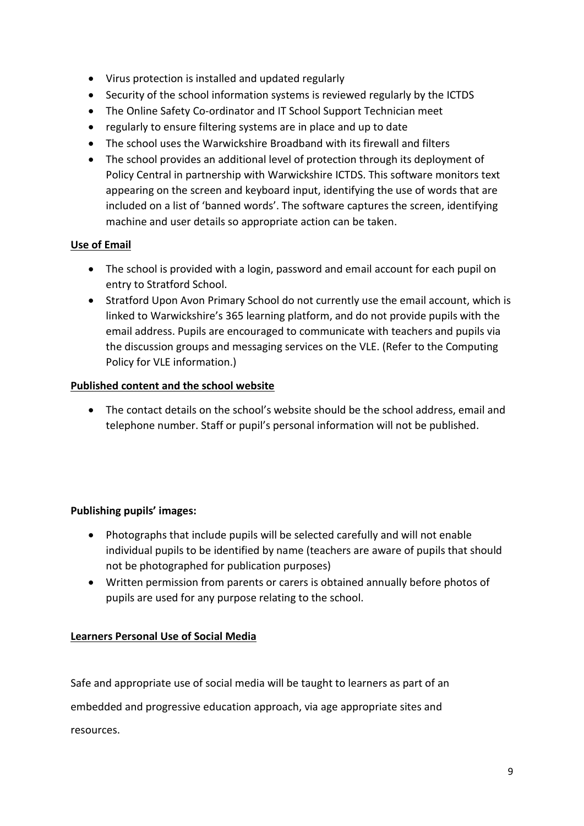- Virus protection is installed and updated regularly
- Security of the school information systems is reviewed regularly by the ICTDS
- The Online Safety Co-ordinator and IT School Support Technician meet
- regularly to ensure filtering systems are in place and up to date
- The school uses the Warwickshire Broadband with its firewall and filters
- The school provides an additional level of protection through its deployment of Policy Central in partnership with Warwickshire ICTDS. This software monitors text appearing on the screen and keyboard input, identifying the use of words that are included on a list of 'banned words'. The software captures the screen, identifying machine and user details so appropriate action can be taken.

# **Use of Email**

- The school is provided with a login, password and email account for each pupil on entry to Stratford School.
- Stratford Upon Avon Primary School do not currently use the email account, which is linked to Warwickshire's 365 learning platform, and do not provide pupils with the email address. Pupils are encouraged to communicate with teachers and pupils via the discussion groups and messaging services on the VLE. (Refer to the Computing Policy for VLE information.)

# **Published content and the school website**

• The contact details on the school's website should be the school address, email and telephone number. Staff or pupil's personal information will not be published.

# **Publishing pupils' images:**

- Photographs that include pupils will be selected carefully and will not enable individual pupils to be identified by name (teachers are aware of pupils that should not be photographed for publication purposes)
- Written permission from parents or carers is obtained annually before photos of pupils are used for any purpose relating to the school.

# **Learners Personal Use of Social Media**

Safe and appropriate use of social media will be taught to learners as part of an embedded and progressive education approach, via age appropriate sites and resources.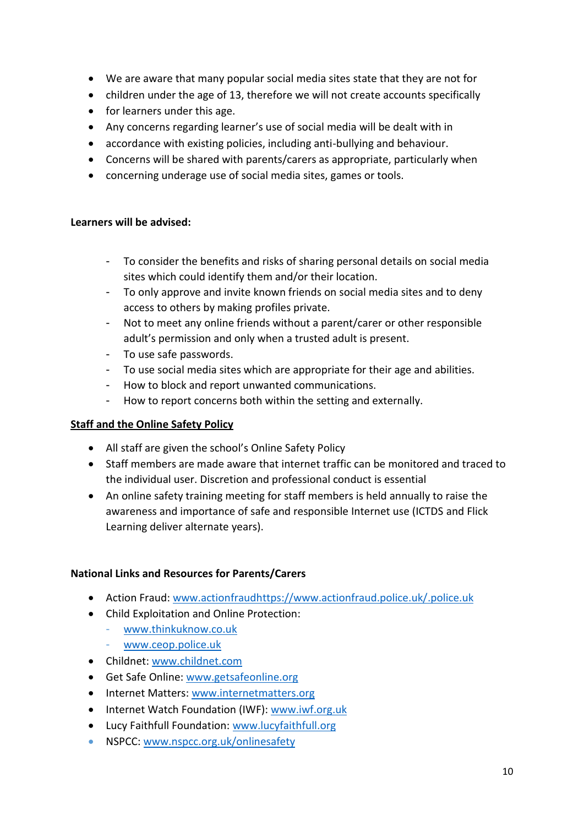- We are aware that many popular social media sites state that they are not for
- children under the age of 13, therefore we will not create accounts specifically
- for learners under this age.
- Any concerns regarding learner's use of social media will be dealt with in
- accordance with existing policies, including anti-bullying and behaviour.
- Concerns will be shared with parents/carers as appropriate, particularly when
- concerning underage use of social media sites, games or tools.

#### **Learners will be advised:**

- To consider the benefits and risks of sharing personal details on social media sites which could identify them and/or their location.
- To only approve and invite known friends on social media sites and to deny access to others by making profiles private.
- Not to meet any online friends without a parent/carer or other responsible adult's permission and only when a trusted adult is present.
- To use safe passwords.
- To use social media sites which are appropriate for their age and abilities.
- How to block and report unwanted communications.
- How to report concerns both within the setting and externally.

## **Staff and the Online Safety Policy**

- All staff are given the school's Online Safety Policy
- Staff members are made aware that internet traffic can be monitored and traced to the individual user. Discretion and professional conduct is essential
- An online safety training meeting for staff members is held annually to raise the awareness and importance of safe and responsible Internet use (ICTDS and Flick Learning deliver alternate years).

## **National Links and Resources for Parents/Carers**

- Action Fraud: [www.actionfraudhttps://www.actionfraud.police.uk/.police.uk](https://www.actionfraud.police.uk/)
- Child Exploitation and Online Protection:
	- [www.thinkuknow.co.uk](file://///STP2050-fs/STAFF/parton.t/www.thinkuknow.co.uk)
	- [www.ceop.police.uk](file://///STP2050-fs/STAFF/parton.t/www.ceop.police.uk)
- Childnet[: www.childnet.com](file://///STP2050-fs/STAFF/parton.t/www.childnet.com)
- Get Safe Online: [www.getsafeonline.org](file://///STP2050-fs/STAFF/parton.t/www.getsafeonline.org)
- Internet Matters: [www.internetmatters.org](file://///STP2050-fs/STAFF/parton.t/www.internetmatters.org)
- Internet Watch Foundation (IWF): [www.iwf.org.uk](file://///STP2050-fs/STAFF/parton.t/www.iwf.org.uk)
- Lucy Faithfull Foundation: [www.lucyfaithfull.org](file://///STP2050-fs/STAFF/parton.t/www.lucyfaithfull.org)
- NSPCC: [www.nspcc.org.uk/onlinesafety](file://///STP2050-fs/STAFF/parton.t/www.nspcc.org.uk/onlinesafety)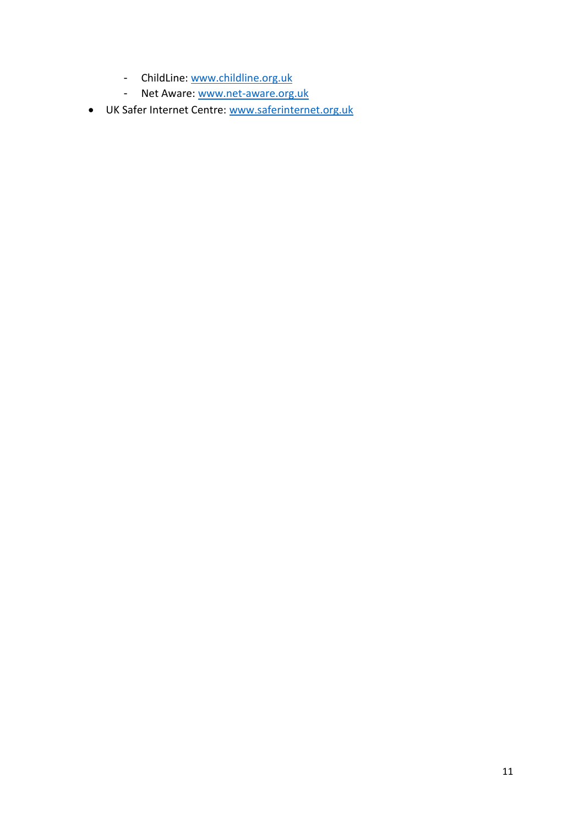- ChildLine: [www.childline.org.uk](file://///STP2050-fs/STAFF/parton.t/www.childline.org.uk)
- Net Aware: [www.net-aware.org.uk](file://///STP2050-fs/STAFF/parton.t/www.net-aware.org.uk)
- UK Safer Internet Centre: [www.saferinternet.org.uk](http://www.saferinternet.org.uk/)